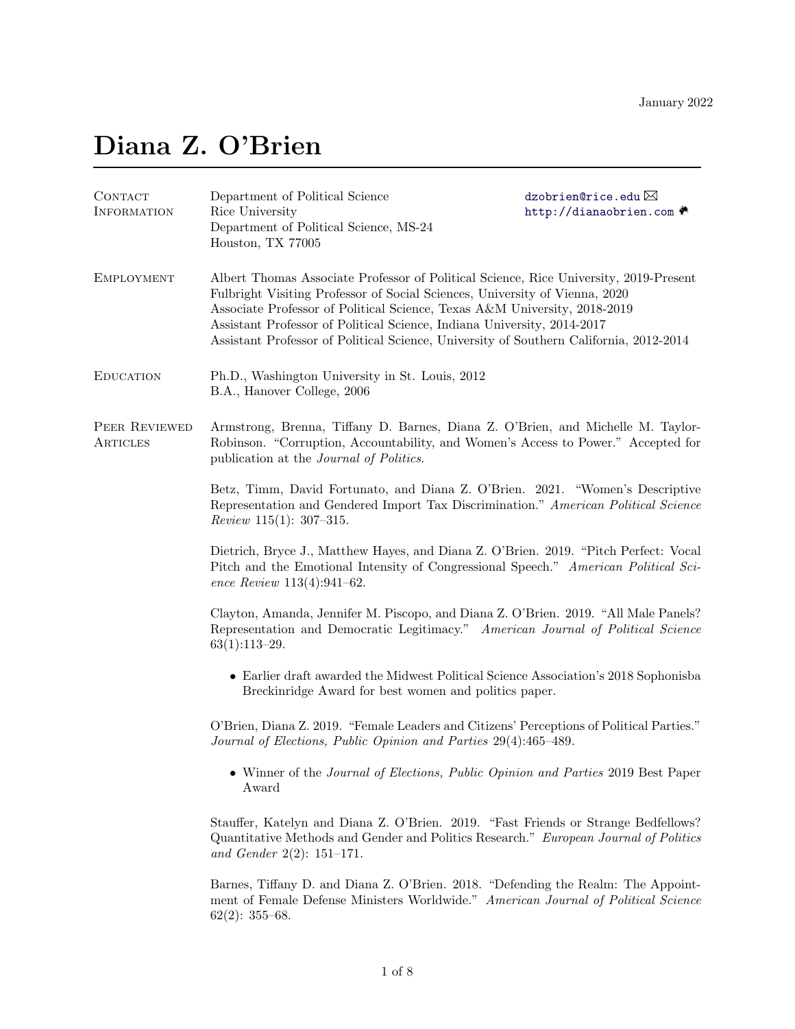# Diana Z. O'Brien

| CONTACT<br><b>INFORMATION</b> | Department of Political Science<br>Rice University<br>Department of Political Science, MS-24<br>Houston, TX 77005                                                                                                                                                                                                                                                                                                      | dzobrien@rice.edu $\boxtimes$<br>http://dianaobrien.com ● |
|-------------------------------|------------------------------------------------------------------------------------------------------------------------------------------------------------------------------------------------------------------------------------------------------------------------------------------------------------------------------------------------------------------------------------------------------------------------|-----------------------------------------------------------|
| <b>EMPLOYMENT</b>             | Albert Thomas Associate Professor of Political Science, Rice University, 2019-Present<br>Fulbright Visiting Professor of Social Sciences, University of Vienna, 2020<br>Associate Professor of Political Science, Texas A&M University, 2018-2019<br>Assistant Professor of Political Science, Indiana University, 2014-2017<br>Assistant Professor of Political Science, University of Southern California, 2012-2014 |                                                           |
| <b>EDUCATION</b>              | Ph.D., Washington University in St. Louis, 2012<br>B.A., Hanover College, 2006                                                                                                                                                                                                                                                                                                                                         |                                                           |
| PEER REVIEWED<br>ARTICLES     | Armstrong, Brenna, Tiffany D. Barnes, Diana Z. O'Brien, and Michelle M. Taylor-<br>Robinson. "Corruption, Accountability, and Women's Access to Power." Accepted for<br>publication at the <i>Journal of Politics</i> .                                                                                                                                                                                                |                                                           |
|                               | Betz, Timm, David Fortunato, and Diana Z. O'Brien. 2021. "Women's Descriptive<br>Representation and Gendered Import Tax Discrimination." American Political Science<br><i>Review</i> 115(1): 307-315.                                                                                                                                                                                                                  |                                                           |
|                               | Dietrich, Bryce J., Matthew Hayes, and Diana Z. O'Brien. 2019. "Pitch Perfect: Vocal<br>Pitch and the Emotional Intensity of Congressional Speech." American Political Sci-<br>ence Review $113(4):941-62$ .                                                                                                                                                                                                           |                                                           |
|                               | Clayton, Amanda, Jennifer M. Piscopo, and Diana Z. O'Brien. 2019. "All Male Panels?<br>Representation and Democratic Legitimacy." American Journal of Political Science<br>$63(1):113-29.$                                                                                                                                                                                                                             |                                                           |
|                               | • Earlier draft awarded the Midwest Political Science Association's 2018 Sophonisba<br>Breckinridge Award for best women and politics paper.                                                                                                                                                                                                                                                                           |                                                           |
|                               | O'Brien, Diana Z. 2019. "Female Leaders and Citizens' Perceptions of Political Parties."<br>Journal of Elections, Public Opinion and Parties 29(4):465-489.                                                                                                                                                                                                                                                            |                                                           |
|                               | Winner of the Journal of Elections, Public Opinion and Parties 2019 Best Paper<br>Award                                                                                                                                                                                                                                                                                                                                |                                                           |
|                               | Stauffer, Katelyn and Diana Z. O'Brien. 2019. "Fast Friends or Strange Bedfellows?<br>Quantitative Methods and Gender and Politics Research." European Journal of Politics<br>and Gender 2(2): $151-171$ .                                                                                                                                                                                                             |                                                           |
|                               | Barnes, Tiffany D. and Diana Z. O'Brien. 2018. "Defending the Realm: The Appoint-<br>ment of Female Defense Ministers Worldwide." American Journal of Political Science<br>$62(2): 355-68.$                                                                                                                                                                                                                            |                                                           |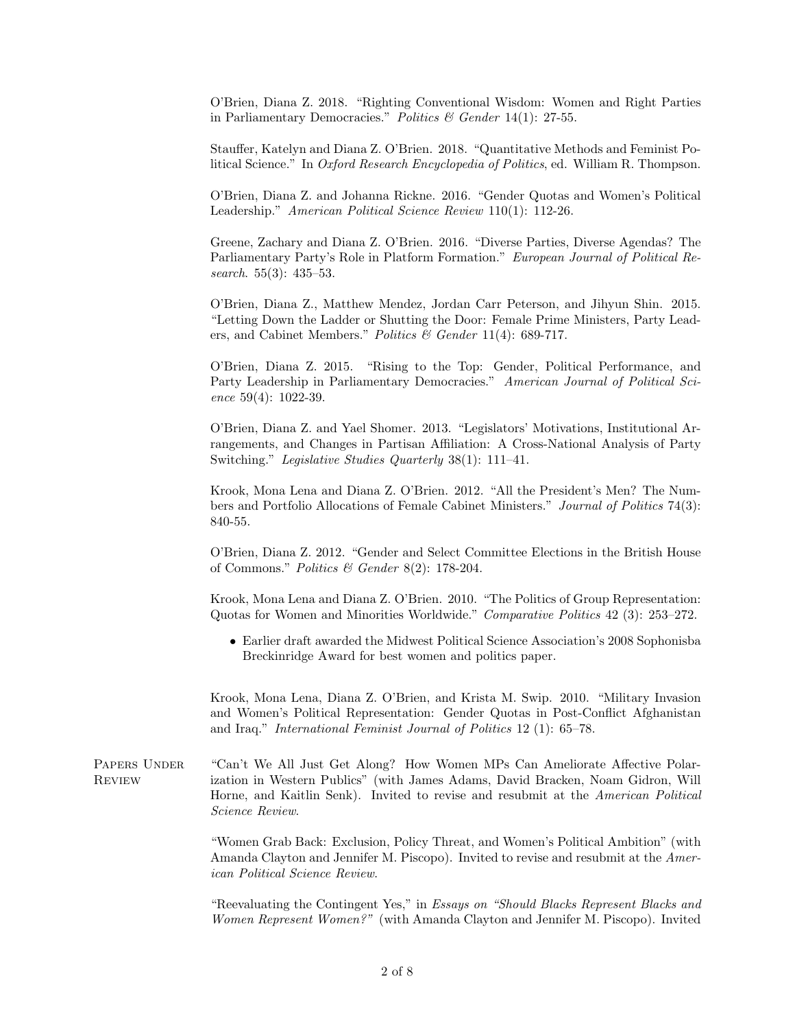O'Brien, Diana Z. 2018. "Righting Conventional Wisdom: Women and Right Parties in Parliamentary Democracies." Politics & Gender 14(1): 27-55.

Stauffer, Katelyn and Diana Z. O'Brien. 2018. "Quantitative Methods and Feminist Political Science." In Oxford Research Encyclopedia of Politics, ed. William R. Thompson.

O'Brien, Diana Z. and Johanna Rickne. 2016. "Gender Quotas and Women's Political Leadership." American Political Science Review 110(1): 112-26.

Greene, Zachary and Diana Z. O'Brien. 2016. "Diverse Parties, Diverse Agendas? The Parliamentary Party's Role in Platform Formation." European Journal of Political Research. 55(3): 435–53.

O'Brien, Diana Z., Matthew Mendez, Jordan Carr Peterson, and Jihyun Shin. 2015. "Letting Down the Ladder or Shutting the Door: Female Prime Ministers, Party Leaders, and Cabinet Members." Politics & Gender 11(4): 689-717.

O'Brien, Diana Z. 2015. "Rising to the Top: Gender, Political Performance, and Party Leadership in Parliamentary Democracies." American Journal of Political Science 59(4): 1022-39.

O'Brien, Diana Z. and Yael Shomer. 2013. "Legislators' Motivations, Institutional Arrangements, and Changes in Partisan Affiliation: A Cross-National Analysis of Party Switching." Legislative Studies Quarterly 38(1): 111–41.

Krook, Mona Lena and Diana Z. O'Brien. 2012. "All the President's Men? The Numbers and Portfolio Allocations of Female Cabinet Ministers." Journal of Politics 74(3): 840-55.

O'Brien, Diana Z. 2012. "Gender and Select Committee Elections in the British House of Commons." Politics & Gender  $8(2)$ : 178-204.

Krook, Mona Lena and Diana Z. O'Brien. 2010. "The Politics of Group Representation: Quotas for Women and Minorities Worldwide." Comparative Politics 42 (3): 253–272.

• Earlier draft awarded the Midwest Political Science Association's 2008 Sophonisba Breckinridge Award for best women and politics paper.

Krook, Mona Lena, Diana Z. O'Brien, and Krista M. Swip. 2010. "Military Invasion and Women's Political Representation: Gender Quotas in Post-Conflict Afghanistan and Iraq." International Feminist Journal of Politics 12 (1): 65–78.

PAPERS UNDER "Can't We All Just Get Along? How Women MPs Can Ameliorate Affective Polar-Review ization in Western Publics" (with James Adams, David Bracken, Noam Gidron, Will Horne, and Kaitlin Senk). Invited to revise and resubmit at the American Political Science Review.

> "Women Grab Back: Exclusion, Policy Threat, and Women's Political Ambition" (with Amanda Clayton and Jennifer M. Piscopo). Invited to revise and resubmit at the American Political Science Review.

> "Reevaluating the Contingent Yes," in Essays on "Should Blacks Represent Blacks and Women Represent Women?" (with Amanda Clayton and Jennifer M. Piscopo). Invited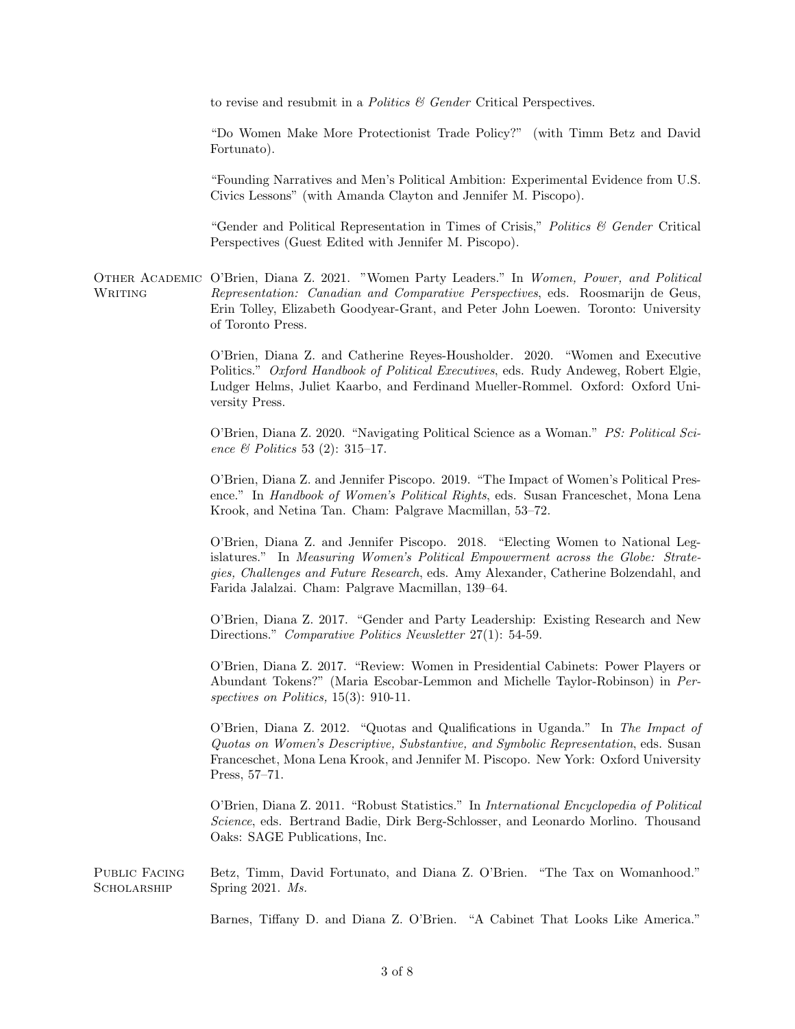to revise and resubmit in a *Politics & Gender* Critical Perspectives.

"Do Women Make More Protectionist Trade Policy?" (with Timm Betz and David Fortunato).

"Founding Narratives and Men's Political Ambition: Experimental Evidence from U.S. Civics Lessons" (with Amanda Clayton and Jennifer M. Piscopo).

"Gender and Political Representation in Times of Crisis," Politics  $\mathcal B$  Gender Critical Perspectives (Guest Edited with Jennifer M. Piscopo).

Other Academic O'Brien, Diana Z. 2021. "Women Party Leaders." In Women, Power, and Political WRITING Representation: Canadian and Comparative Perspectives, eds. Roosmarijn de Geus, Erin Tolley, Elizabeth Goodyear-Grant, and Peter John Loewen. Toronto: University of Toronto Press.

> O'Brien, Diana Z. and Catherine Reyes-Housholder. 2020. "Women and Executive Politics." Oxford Handbook of Political Executives, eds. Rudy Andeweg, Robert Elgie, Ludger Helms, Juliet Kaarbo, and Ferdinand Mueller-Rommel. Oxford: Oxford University Press.

> O'Brien, Diana Z. 2020. "Navigating Political Science as a Woman." PS: Political Science & Politics 53 (2): 315–17.

> O'Brien, Diana Z. and Jennifer Piscopo. 2019. "The Impact of Women's Political Presence." In Handbook of Women's Political Rights, eds. Susan Franceschet, Mona Lena Krook, and Netina Tan. Cham: Palgrave Macmillan, 53–72.

> O'Brien, Diana Z. and Jennifer Piscopo. 2018. "Electing Women to National Legislatures." In Measuring Women's Political Empowerment across the Globe: Strategies, Challenges and Future Research, eds. Amy Alexander, Catherine Bolzendahl, and Farida Jalalzai. Cham: Palgrave Macmillan, 139–64.

> O'Brien, Diana Z. 2017. "Gender and Party Leadership: Existing Research and New Directions." Comparative Politics Newsletter 27(1): 54-59.

> O'Brien, Diana Z. 2017. "Review: Women in Presidential Cabinets: Power Players or Abundant Tokens?" (Maria Escobar-Lemmon and Michelle Taylor-Robinson) in Perspectives on Politics, 15(3): 910-11.

> O'Brien, Diana Z. 2012. "Quotas and Qualifications in Uganda." In The Impact of Quotas on Women's Descriptive, Substantive, and Symbolic Representation, eds. Susan Franceschet, Mona Lena Krook, and Jennifer M. Piscopo. New York: Oxford University Press, 57–71.

> O'Brien, Diana Z. 2011. "Robust Statistics." In International Encyclopedia of Political Science, eds. Bertrand Badie, Dirk Berg-Schlosser, and Leonardo Morlino. Thousand Oaks: SAGE Publications, Inc.

Public Facing Betz, Timm, David Fortunato, and Diana Z. O'Brien. "The Tax on Womanhood." SCHOLARSHIP Spring 2021. Ms.

Barnes, Tiffany D. and Diana Z. O'Brien. "A Cabinet That Looks Like America."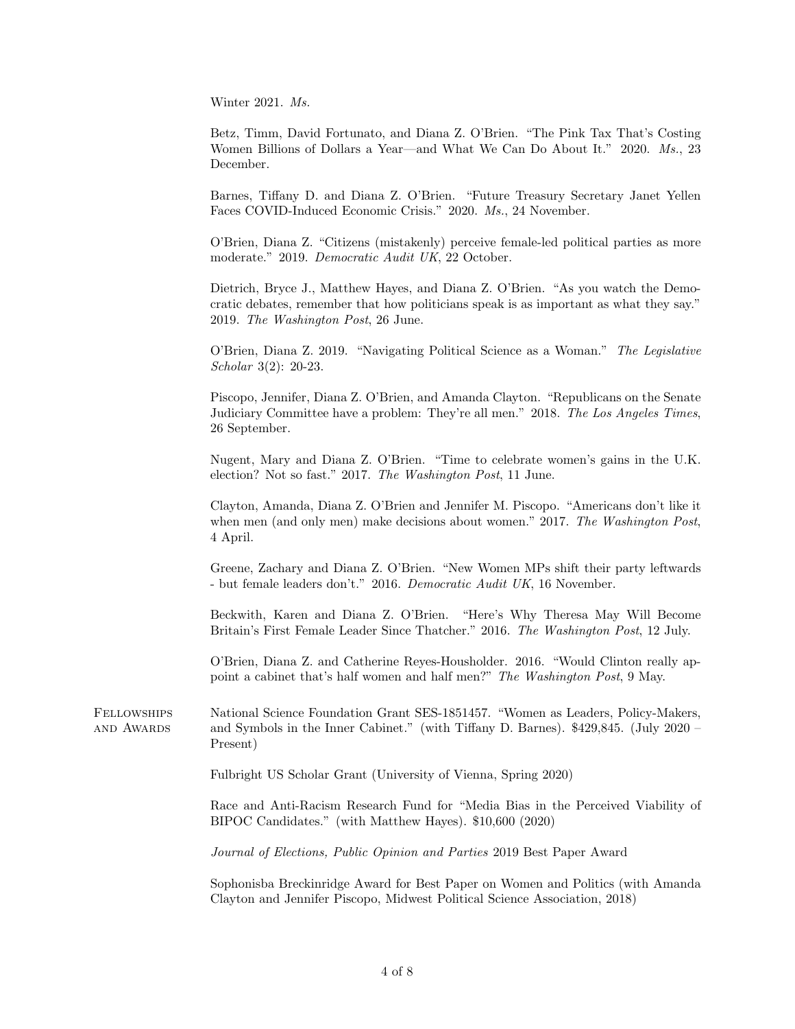Winter 2021. Ms.

Betz, Timm, David Fortunato, and Diana Z. O'Brien. "The Pink Tax That's Costing Women Billions of Dollars a Year—and What We Can Do About It." 2020. Ms., 23 December.

Barnes, Tiffany D. and Diana Z. O'Brien. "Future Treasury Secretary Janet Yellen Faces COVID-Induced Economic Crisis." 2020. Ms., 24 November.

O'Brien, Diana Z. "Citizens (mistakenly) perceive female-led political parties as more moderate." 2019. Democratic Audit UK, 22 October.

Dietrich, Bryce J., Matthew Hayes, and Diana Z. O'Brien. "As you watch the Democratic debates, remember that how politicians speak is as important as what they say." 2019. The Washington Post, 26 June.

O'Brien, Diana Z. 2019. "Navigating Political Science as a Woman." The Legislative Scholar 3(2): 20-23.

Piscopo, Jennifer, Diana Z. O'Brien, and Amanda Clayton. "Republicans on the Senate Judiciary Committee have a problem: They're all men." 2018. The Los Angeles Times, 26 September.

Nugent, Mary and Diana Z. O'Brien. "Time to celebrate women's gains in the U.K. election? Not so fast." 2017. The Washington Post, 11 June.

Clayton, Amanda, Diana Z. O'Brien and Jennifer M. Piscopo. "Americans don't like it when men (and only men) make decisions about women." 2017. The Washington Post, 4 April.

Greene, Zachary and Diana Z. O'Brien. "New Women MPs shift their party leftwards - but female leaders don't." 2016. Democratic Audit UK, 16 November.

Beckwith, Karen and Diana Z. O'Brien. "Here's Why Theresa May Will Become Britain's First Female Leader Since Thatcher." 2016. The Washington Post, 12 July.

O'Brien, Diana Z. and Catherine Reyes-Housholder. 2016. "Would Clinton really appoint a cabinet that's half women and half men?" The Washington Post, 9 May.

Fellowships National Science Foundation Grant SES-1851457. "Women as Leaders, Policy-Makers, and Awards and Symbols in the Inner Cabinet." (with Tiffany D. Barnes). \$429,845. (July 2020 – Present)

Fulbright US Scholar Grant (University of Vienna, Spring 2020)

Race and Anti-Racism Research Fund for "Media Bias in the Perceived Viability of BIPOC Candidates." (with Matthew Hayes). \$10,600 (2020)

Journal of Elections, Public Opinion and Parties 2019 Best Paper Award

Sophonisba Breckinridge Award for Best Paper on Women and Politics (with Amanda Clayton and Jennifer Piscopo, Midwest Political Science Association, 2018)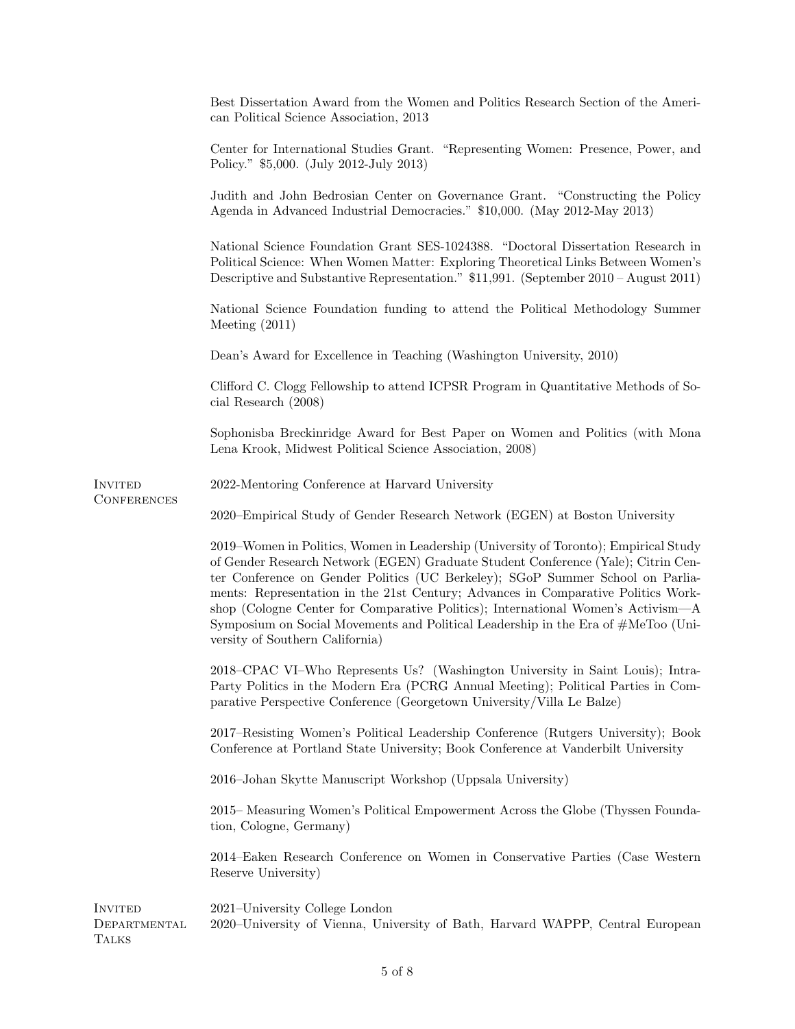|                                         | Best Dissertation Award from the Women and Politics Research Section of the Ameri-<br>can Political Science Association, 2013                                                                                                                                                                                                                                                                                                                                                                                                                                |
|-----------------------------------------|--------------------------------------------------------------------------------------------------------------------------------------------------------------------------------------------------------------------------------------------------------------------------------------------------------------------------------------------------------------------------------------------------------------------------------------------------------------------------------------------------------------------------------------------------------------|
|                                         | Center for International Studies Grant. "Representing Women: Presence, Power, and<br>Policy." \$5,000. (July 2012-July 2013)                                                                                                                                                                                                                                                                                                                                                                                                                                 |
|                                         | Judith and John Bedrosian Center on Governance Grant. "Constructing the Policy<br>Agenda in Advanced Industrial Democracies." \$10,000. (May 2012-May 2013)                                                                                                                                                                                                                                                                                                                                                                                                  |
|                                         | National Science Foundation Grant SES-1024388. "Doctoral Dissertation Research in<br>Political Science: When Women Matter: Exploring Theoretical Links Between Women's<br>Descriptive and Substantive Representation." \$11,991. (September 2010 – August 2011)                                                                                                                                                                                                                                                                                              |
|                                         | National Science Foundation funding to attend the Political Methodology Summer<br>Meeting $(2011)$                                                                                                                                                                                                                                                                                                                                                                                                                                                           |
|                                         | Dean's Award for Excellence in Teaching (Washington University, 2010)                                                                                                                                                                                                                                                                                                                                                                                                                                                                                        |
|                                         | Clifford C. Clogg Fellowship to attend ICPSR Program in Quantitative Methods of So-<br>cial Research (2008)                                                                                                                                                                                                                                                                                                                                                                                                                                                  |
|                                         | Sophonisba Breckinridge Award for Best Paper on Women and Politics (with Mona<br>Lena Krook, Midwest Political Science Association, 2008)                                                                                                                                                                                                                                                                                                                                                                                                                    |
| INVITED                                 | 2022-Mentoring Conference at Harvard University                                                                                                                                                                                                                                                                                                                                                                                                                                                                                                              |
| <b>CONFERENCES</b>                      | 2020–Empirical Study of Gender Research Network (EGEN) at Boston University                                                                                                                                                                                                                                                                                                                                                                                                                                                                                  |
|                                         | 2019–Women in Politics, Women in Leadership (University of Toronto); Empirical Study<br>of Gender Research Network (EGEN) Graduate Student Conference (Yale); Citrin Cen-<br>ter Conference on Gender Politics (UC Berkeley); SGoP Summer School on Parlia-<br>ments: Representation in the 21st Century; Advances in Comparative Politics Work-<br>shop (Cologne Center for Comparative Politics); International Women's Activism—A<br>Symposium on Social Movements and Political Leadership in the Era of #MeToo (Uni-<br>versity of Southern California) |
|                                         | 2018–CPAC VI–Who Represents Us? (Washington University in Saint Louis); Intra-<br>Party Politics in the Modern Era (PCRG Annual Meeting); Political Parties in Com-<br>parative Perspective Conference (Georgetown University/Villa Le Balze)                                                                                                                                                                                                                                                                                                                |
|                                         | 2017–Resisting Women's Political Leadership Conference (Rutgers University); Book<br>Conference at Portland State University; Book Conference at Vanderbilt University                                                                                                                                                                                                                                                                                                                                                                                       |
|                                         | 2016–Johan Skytte Manuscript Workshop (Uppsala University)                                                                                                                                                                                                                                                                                                                                                                                                                                                                                                   |
|                                         | 2015–Measuring Women's Political Empowerment Across the Globe (Thyssen Founda-<br>tion, Cologne, Germany)                                                                                                                                                                                                                                                                                                                                                                                                                                                    |
|                                         | 2014–Eaken Research Conference on Women in Conservative Parties (Case Western<br>Reserve University)                                                                                                                                                                                                                                                                                                                                                                                                                                                         |
| INVITED<br>DEPARTMENTAL<br><b>TALKS</b> | 2021–University College London<br>2020–University of Vienna, University of Bath, Harvard WAPPP, Central European                                                                                                                                                                                                                                                                                                                                                                                                                                             |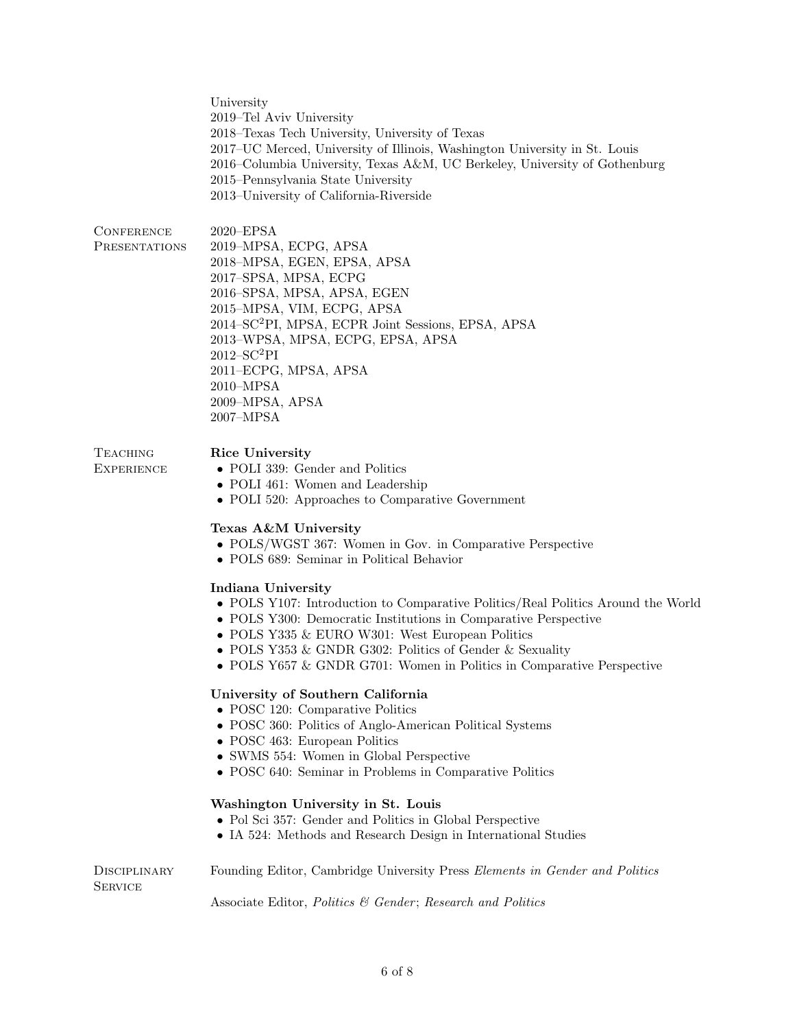University 2019–Tel Aviv University 2018–Texas Tech University, University of Texas 2017–UC Merced, University of Illinois, Washington University in St. Louis 2016–Columbia University, Texas A&M, UC Berkeley, University of Gothenburg 2015–Pennsylvania State University 2013–University of California-Riverside

| CONFERENCE    | $2020 - EPSA$                                                  |
|---------------|----------------------------------------------------------------|
| PRESENTATIONS | 2019-MPSA, ECPG, APSA                                          |
|               | 2018-MPSA, EGEN, EPSA, APSA                                    |
|               | 2017-SPSA, MPSA, ECPG                                          |
|               | 2016–SPSA, MPSA, APSA, EGEN                                    |
|               | 2015-MPSA, VIM, ECPG, APSA                                     |
|               | 2014-SC <sup>2</sup> PI, MPSA, ECPR Joint Sessions, EPSA, APSA |
|               | 2013–WPSA, MPSA, ECPG, EPSA, APSA                              |
|               | $2012 - SC2PI$                                                 |
|               | 2011-ECPG, MPSA, APSA                                          |
|               | $2010 - MPSA$                                                  |
|               | 2009-MPSA, APSA                                                |
|               | $2007 - MPSA$                                                  |
|               |                                                                |

Rice University

**TEACHING EXPERIENCE** 

**SERVICE** 

- POLI 339: Gender and Politics
- POLI 461: Women and Leadership
- POLI 520: Approaches to Comparative Government

### Texas A&M University

- POLS/WGST 367: Women in Gov. in Comparative Perspective
- POLS 689: Seminar in Political Behavior

#### Indiana University

- POLS Y107: Introduction to Comparative Politics/Real Politics Around the World
- POLS Y300: Democratic Institutions in Comparative Perspective
- POLS Y335 & EURO W301: West European Politics
- POLS Y353 & GNDR G302: Politics of Gender & Sexuality
- POLS Y657 & GNDR G701: Women in Politics in Comparative Perspective

## University of Southern California

- POSC 120: Comparative Politics
- POSC 360: Politics of Anglo-American Political Systems
- POSC 463: European Politics
- SWMS 554: Women in Global Perspective
- POSC 640: Seminar in Problems in Comparative Politics

#### Washington University in St. Louis

- Pol Sci 357: Gender and Politics in Global Perspective
- IA 524: Methods and Research Design in International Studies

**DISCIPLINARY** Founding Editor, Cambridge University Press Elements in Gender and Politics

Associate Editor, Politics & Gender; Research and Politics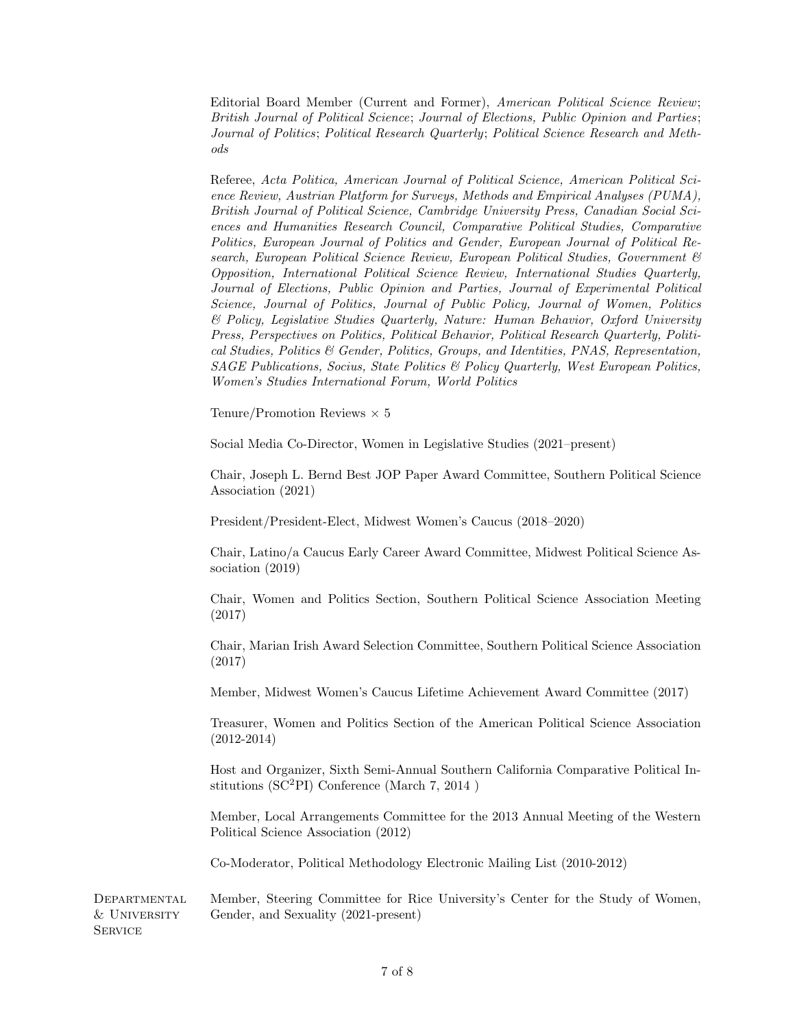Editorial Board Member (Current and Former), American Political Science Review; British Journal of Political Science; Journal of Elections, Public Opinion and Parties; Journal of Politics; Political Research Quarterly; Political Science Research and Methods

Referee, Acta Politica, American Journal of Political Science, American Political Science Review, Austrian Platform for Surveys, Methods and Empirical Analyses (PUMA), British Journal of Political Science, Cambridge University Press, Canadian Social Sciences and Humanities Research Council, Comparative Political Studies, Comparative Politics, European Journal of Politics and Gender, European Journal of Political Research, European Political Science Review, European Political Studies, Government & Opposition, International Political Science Review, International Studies Quarterly, Journal of Elections, Public Opinion and Parties, Journal of Experimental Political Science, Journal of Politics, Journal of Public Policy, Journal of Women, Politics & Policy, Legislative Studies Quarterly, Nature: Human Behavior, Oxford University Press, Perspectives on Politics, Political Behavior, Political Research Quarterly, Political Studies, Politics & Gender, Politics, Groups, and Identities, PNAS, Representation, SAGE Publications, Socius, State Politics & Policy Quarterly, West European Politics, Women's Studies International Forum, World Politics

Tenure/Promotion Reviews  $\times$  5

Social Media Co-Director, Women in Legislative Studies (2021–present)

Chair, Joseph L. Bernd Best JOP Paper Award Committee, Southern Political Science Association (2021)

President/President-Elect, Midwest Women's Caucus (2018–2020)

Chair, Latino/a Caucus Early Career Award Committee, Midwest Political Science Association (2019)

Chair, Women and Politics Section, Southern Political Science Association Meeting (2017)

Chair, Marian Irish Award Selection Committee, Southern Political Science Association (2017)

Member, Midwest Women's Caucus Lifetime Achievement Award Committee (2017)

Treasurer, Women and Politics Section of the American Political Science Association (2012-2014)

Host and Organizer, Sixth Semi-Annual Southern California Comparative Political Institutions (SC<sup>2</sup>PI) Conference (March 7, 2014 )

Member, Local Arrangements Committee for the 2013 Annual Meeting of the Western Political Science Association (2012)

Co-Moderator, Political Methodology Electronic Mailing List (2010-2012)

Departmental Member, Steering Committee for Rice University's Center for the Study of Women, & University Gender, and Sexuality (2021-present) **SERVICE**